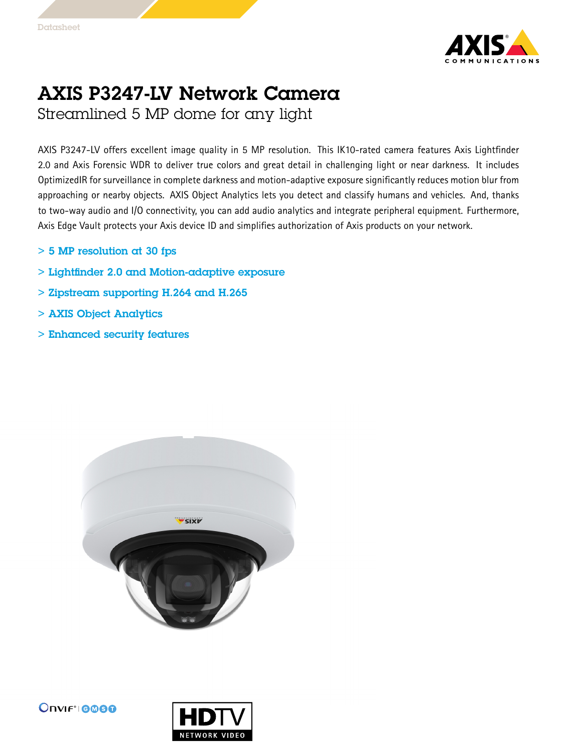

## AXIS P3247-LV Network Camera Streamlined 5 MP dome for any light

AXIS P3247-LV offers excellent image quality in 5 MP resolution. This IK10-rated camera features Axis Lightfinder 2.0 and Axis Forensic WDR to deliver true colors and great detail in challenging light or near darkness. It includes OptimizedIR for surveillance in complete darkness and motion-adaptive exposure significantly reduces motion blur from approaching or nearby objects. AXIS Object Analytics lets you detect and classify humans and vehicles. And, thanks to two-way audio and I/O connectivity, you can add audio analytics and integrate peripheral equipment. Furthermore, Axis Edge Vault protects your Axis device ID and simplifies authorization of Axis products on your network.

- > 5 MP resolution at 30 fps
- > Lightfinder 2.0 and Motion-adaptive exposure
- > Zipstream supporting H.264 and H.265
- > AXIS Object Analytics
- > Enhanced security features



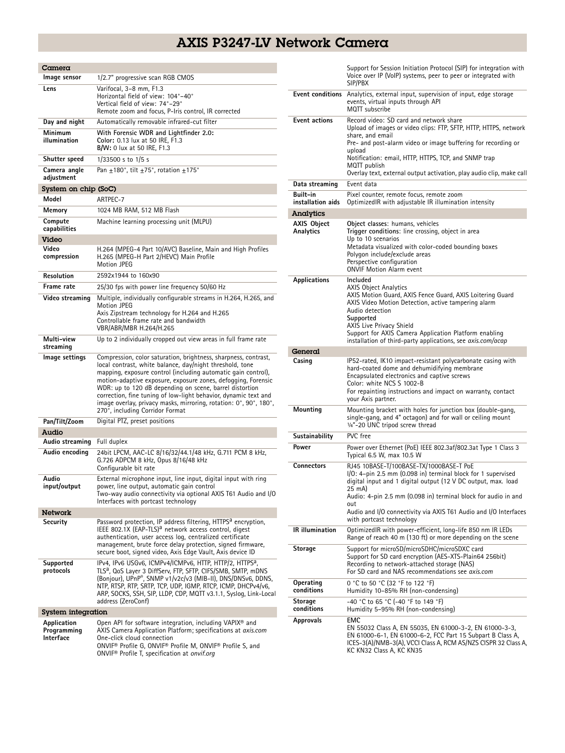## AXIS P3247-LV Network Camera

| Camera                                  |                                                                                                                                                                                                                                                                                                                                                                                                                                                                                                     |  |
|-----------------------------------------|-----------------------------------------------------------------------------------------------------------------------------------------------------------------------------------------------------------------------------------------------------------------------------------------------------------------------------------------------------------------------------------------------------------------------------------------------------------------------------------------------------|--|
| lmage sensor                            | 1/2.7" progressive scan RGB CMOS                                                                                                                                                                                                                                                                                                                                                                                                                                                                    |  |
| Lens                                    | Varifocal, 3-8 mm, F1.3<br>Horizontal field of view: 104°-40°<br>Vertical field of view: 74°-29°<br>Remote zoom and focus, P-Iris control, IR corrected                                                                                                                                                                                                                                                                                                                                             |  |
| Day and night                           | Automatically removable infrared-cut filter                                                                                                                                                                                                                                                                                                                                                                                                                                                         |  |
| Minimum<br>illumination                 | With Forensic WDR and Lightfinder 2.0:<br>Color: 0.13 lux at 50 IRE, F1.3<br><b>B/W:</b> 0 lux at 50 IRE, F1.3                                                                                                                                                                                                                                                                                                                                                                                      |  |
| Shutter speed                           | $1/33500$ s to $1/5$ s                                                                                                                                                                                                                                                                                                                                                                                                                                                                              |  |
| Camera angle<br>adjustment              | Pan $+180^\circ$ , tilt $+75^\circ$ , rotation $+175^\circ$                                                                                                                                                                                                                                                                                                                                                                                                                                         |  |
| System on chip (SoC)                    |                                                                                                                                                                                                                                                                                                                                                                                                                                                                                                     |  |
| Model                                   | ARTPEC-7                                                                                                                                                                                                                                                                                                                                                                                                                                                                                            |  |
| Memory                                  | 1024 MB RAM, 512 MB Flash                                                                                                                                                                                                                                                                                                                                                                                                                                                                           |  |
| Compute<br>capabilities<br>Video        | Machine learning processing unit (MLPU)                                                                                                                                                                                                                                                                                                                                                                                                                                                             |  |
| Video<br>compression                    | H.264 (MPEG-4 Part 10/AVC) Baseline, Main and High Profiles<br>H.265 (MPEG-H Part 2/HEVC) Main Profile<br><b>Motion JPEG</b>                                                                                                                                                                                                                                                                                                                                                                        |  |
| Resolution                              | 2592x1944 to 160x90                                                                                                                                                                                                                                                                                                                                                                                                                                                                                 |  |
| Frame rate                              | 25/30 fps with power line frequency 50/60 Hz                                                                                                                                                                                                                                                                                                                                                                                                                                                        |  |
| Video streaming                         | Multiple, individually configurable streams in H.264, H.265, and<br>Motion JPEG<br>Axis Zipstream technology for H.264 and H.265<br>Controllable frame rate and bandwidth<br>VBR/ABR/MBR H.264/H.265                                                                                                                                                                                                                                                                                                |  |
| Multi-view<br>streaming                 | Up to 2 individually cropped out view areas in full frame rate                                                                                                                                                                                                                                                                                                                                                                                                                                      |  |
| lmage settings                          | Compression, color saturation, brightness, sharpness, contrast,<br>local contrast, white balance, day/night threshold, tone<br>mapping, exposure control (including automatic gain control),<br>motion-adaptive exposure, exposure zones, defogging, Forensic<br>WDR: up to 120 dB depending on scene, barrel distortion<br>correction, fine tuning of low-light behavior, dynamic text and<br>image overlay, privacy masks, mirroring, rotation: 0°, 90°, 180°,<br>270°, including Corridor Format |  |
| Pan/Tilt/Zoom                           | Digital PTZ, preset positions                                                                                                                                                                                                                                                                                                                                                                                                                                                                       |  |
| Audio                                   |                                                                                                                                                                                                                                                                                                                                                                                                                                                                                                     |  |
| Audio streaming                         | Full duplex                                                                                                                                                                                                                                                                                                                                                                                                                                                                                         |  |
| Audio encoding                          | 24bit LPCM, AAC-LC 8/16/32/44.1/48 kHz, G.711 PCM 8 kHz,<br>G.726 ADPCM 8 kHz, Opus 8/16/48 kHz<br>Configurable bit rate                                                                                                                                                                                                                                                                                                                                                                            |  |
| Audio<br>input/output                   | External microphone input, line input, digital input with ring<br>power, line output, automatic gain control<br>Two-way audio connectivity via optional AXIS T61 Audio and I/O<br>Interfaces with portcast technology                                                                                                                                                                                                                                                                               |  |
| Network                                 |                                                                                                                                                                                                                                                                                                                                                                                                                                                                                                     |  |
| Security                                | Password protection, IP address filtering, HTTPS <sup>a</sup> encryption,<br>IEEE 802.1X (EAP-TLS) <sup>a</sup> network access control, digest<br>authentication, user access log, centralized certificate<br>management, brute force delay protection, signed firmware,<br>secure boot, signed video, Axis Edge Vault, Axis device ID                                                                                                                                                              |  |
| Supported<br>protocols                  | IPv4, IPv6 USGv6, ICMPv4/ICMPv6, HTTP, HTTP/2, HTTPS <sup>a</sup> ,<br>TLS <sup>a</sup> , QoS Layer 3 DiffServ, FTP, SFTP, CIFS/SMB, SMTP, mDNS<br>(Bonjour), UPnP®, SNMP v1/v2c/v3 (MIB-II), DNS/DNSv6, DDNS,<br>NTP, RTSP, RTP, SRTP, TCP, UDP, IGMP, RTCP, ICMP, DHCPv4/v6,<br>ARP, SOCKS, SSH, SIP, LLDP, CDP, MQTT v3.1.1, Syslog, Link-Local<br>address (ZeroConf)                                                                                                                            |  |
| System integration                      |                                                                                                                                                                                                                                                                                                                                                                                                                                                                                                     |  |
| Application<br>Programming<br>Interface | Open API for software integration, including VAPIX <sup>®</sup> and<br>AXIS Camera Application Platform; specifications at axis.com<br>One-click cloud connection<br>ONVIF <sup>®</sup> Profile G, ONVIF® Profile M, ONVIF® Profile S, and<br>ONVIF <sup>®</sup> Profile T, specification at onvif.org                                                                                                                                                                                              |  |

|                                 | Support for Session Initiation Protocol (SIP) for integration with<br>Voice over IP (VoIP) systems, peer to peer or integrated with<br>SIP/PBX                                                                                                                                                                                                                 |
|---------------------------------|----------------------------------------------------------------------------------------------------------------------------------------------------------------------------------------------------------------------------------------------------------------------------------------------------------------------------------------------------------------|
|                                 | <b>Event conditions</b> Analytics, external input, supervision of input, edge storage<br>events, virtual inputs through API<br>MQTT subscribe                                                                                                                                                                                                                  |
| <b>Event actions</b>            | Record video: SD card and network share<br>Upload of images or video clips: FTP, SFTP, HTTP, HTTPS, network<br>share, and email<br>Pre- and post-alarm video or image buffering for recording or<br>upload<br>Notification: email, HTTP, HTTPS, TCP, and SNMP trap<br>MQTT publish<br>Overlay text, external output activation, play audio clip, make call     |
| Data streaming                  | Event data                                                                                                                                                                                                                                                                                                                                                     |
| Built-in<br>installation aids   | Pixel counter, remote focus, remote zoom<br>OptimizedIR with adjustable IR illumination intensity                                                                                                                                                                                                                                                              |
| Analytics                       |                                                                                                                                                                                                                                                                                                                                                                |
| <b>AXIS Object</b><br>Analytics | Object classes: humans, vehicles<br>Trigger conditions: line crossing, object in area<br>Up to 10 scenarios<br>Metadata visualized with color-coded bounding boxes<br>Polygon include/exclude areas<br>Perspective configuration<br><b>ONVIF Motion Alarm event</b>                                                                                            |
| Applications                    | Included<br><b>AXIS Object Analytics</b><br>AXIS Motion Guard, AXIS Fence Guard, AXIS Loitering Guard<br>AXIS Video Motion Detection, active tampering alarm<br>Audio detection<br>Supported<br><b>AXIS Live Privacy Shield</b><br>Support for AXIS Camera Application Platform enabling<br>installation of third-party applications, see <i>axis.com/acap</i> |
| General                         |                                                                                                                                                                                                                                                                                                                                                                |
| Casing                          | IP52-rated, IK10 impact-resistant polycarbonate casing with<br>hard-coated dome and dehumidifying membrane<br>Encapsulated electronics and captive screws<br>Color: white NCS S 1002-B<br>For repainting instructions and impact on warranty, contact<br>your Axis partner.                                                                                    |
| Mounting                        | Mounting bracket with holes for junction box (double-gang,<br>single-gang, and 4" octagon) and for wall or ceiling mount<br>1/4"-20 UNC tripod screw thread                                                                                                                                                                                                    |
| Sustainability                  | PVC free                                                                                                                                                                                                                                                                                                                                                       |
| Power                           | Power over Ethernet (PoE) IEEE 802.3af/802.3at Type 1 Class 3<br>Typical 6.5 W, max 10.5 W                                                                                                                                                                                                                                                                     |
| <b>Connectors</b>               | RJ45 10BASE-T/100BASE-TX/1000BASE-T PoE<br>$1/0$ : 4-pin 2.5 mm (0.098 in) terminal block for 1 supervised<br>digital input and 1 digital output (12 V DC output, max. load<br>25 mA)<br>Audio: 4-pin 2.5 mm (0.098 in) terminal block for audio in and<br>out<br>Audio and I/O connectivity via AXIS T61 Audio and I/O Interfaces<br>with portcast technology |
| IR illumination                 | OptimizedIR with power-efficient, long-life 850 nm IR LEDs<br>Range of reach 40 m (130 ft) or more depending on the scene                                                                                                                                                                                                                                      |
| <b>Storage</b>                  | Support for microSD/microSDHC/microSDXC card<br>Support for SD card encryption (AES-XTS-Plain64 256bit)<br>Recording to network-attached storage (NAS)<br>For SD card and NAS recommendations see axis.com                                                                                                                                                     |
| Operating<br>conditions         | 0 °C to 50 °C (32 °F to 122 °F)<br>Humidity 10-85% RH (non-condensing)                                                                                                                                                                                                                                                                                         |
| <b>Storage</b><br>conditions    | -40 °C to 65 °C (-40 °F to 149 °F)<br>Humidity 5-95% RH (non-condensing)                                                                                                                                                                                                                                                                                       |
| Approvals                       | EMC<br>EN 55032 Class A, EN 55035, EN 61000-3-2, EN 61000-3-3,<br>EN 61000-6-1, EN 61000-6-2, FCC Part 15 Subpart B Class A,<br>ICES-3(A)/NMB-3(A), VCCI Class A, RCM AS/NZS CISPR 32 Class A,<br>KC KN32 Class A, KC KN35                                                                                                                                     |